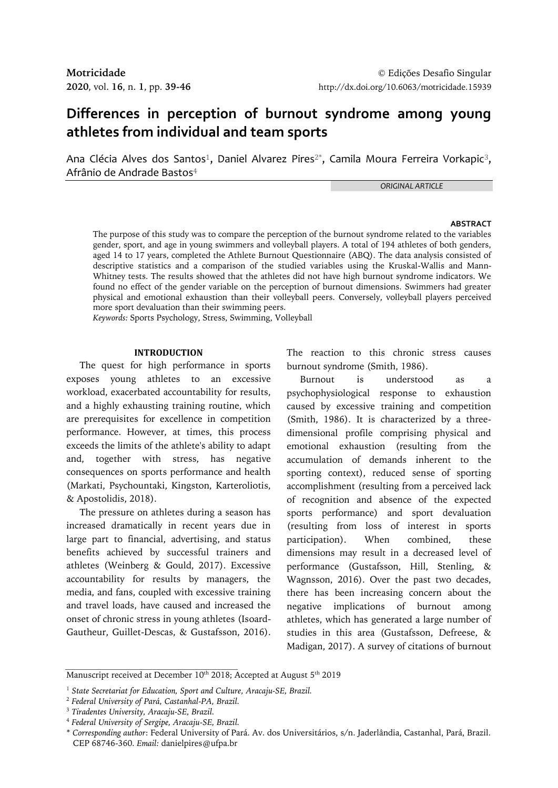# **Differences in perception of burnout syndrome among young athletes from individual and team sports**

Ana Clécia Alves dos Santos<sup>1</sup>, Daniel Alvarez Pires $^{2^*}$ , Camila Moura Ferreira Vorkapic $^3$ , Afrânio de Andrade Bastos<sup>4</sup>

*ORIGINAL ARTICLE*

#### **ABSTRACT**

The purpose of this study was to compare the perception of the burnout syndrome related to the variables gender, sport, and age in young swimmers and volleyball players. A total of 194 athletes of both genders, aged 14 to 17 years, completed the Athlete Burnout Questionnaire (ABQ). The data analysis consisted of descriptive statistics and a comparison of the studied variables using the Kruskal-Wallis and Mann-Whitney tests. The results showed that the athletes did not have high burnout syndrome indicators. We found no effect of the gender variable on the perception of burnout dimensions. Swimmers had greater physical and emotional exhaustion than their volleyball peers. Conversely, volleyball players perceived more sport devaluation than their swimming peers*.*

*Keywords:* Sports Psychology, Stress, Swimming, Volleyball

## **INTRODUCTION**

The quest for high performance in sports exposes young athletes to an excessive workload, exacerbated accountability for results, and a highly exhausting training routine, which are prerequisites for excellence in competition performance. However, at times, this process exceeds the limits of the athlete's ability to adapt and, together with stress, has negative consequences on sports performance and health (Markati, Psychountaki, Kingston, Karteroliotis, & Apostolidis, 2018).

The pressure on athletes during a season has increased dramatically in recent years due in large part to financial, advertising, and status benefits achieved by successful trainers and athletes (Weinberg & Gould, 2017). Excessive accountability for results by managers, the media, and fans, coupled with excessive training and travel loads, have caused and increased the onset of chronic stress in young athletes (Isoard-Gautheur, Guillet-Descas, & Gustafsson, 2016).

The reaction to this chronic stress causes burnout syndrome (Smith, 1986).

Burnout is understood as a psychophysiological response to exhaustion caused by excessive training and competition (Smith, 1986). It is characterized by a threedimensional profile comprising physical and emotional exhaustion (resulting from the accumulation of demands inherent to the sporting context), reduced sense of sporting accomplishment (resulting from a perceived lack of recognition and absence of the expected sports performance) and sport devaluation (resulting from loss of interest in sports participation). When combined, these dimensions may result in a decreased level of performance (Gustafsson, Hill, Stenling, & Wagnsson, 2016). Over the past two decades, there has been increasing concern about the negative implications of burnout among athletes, which has generated a large number of studies in this area (Gustafsson, Defreese, & Madigan, 2017). A survey of citations of burnout

Manuscript received at December  $10^{\text{th}}$  2018; Accepted at August 5 $^{\text{th}}$  2019

<sup>1</sup> *State Secretariat for Education, Sport and Culture, Aracaju-SE, Brazil.*

<sup>2</sup> *Federal University of Pará, Castanhal-PA, Brazil.*

<sup>3</sup> *Tiradentes University, Aracaju-SE, Brazil.*

<sup>4</sup> *Federal University of Sergipe, Aracaju-SE, Brazil.*

<sup>\*</sup> *Corresponding author*: Federal University of Pará. Av. dos Universitários, s/n. Jaderlândia, Castanhal, Pará, Brazil. CEP 68746-360. *Email:* danielpires@ufpa.br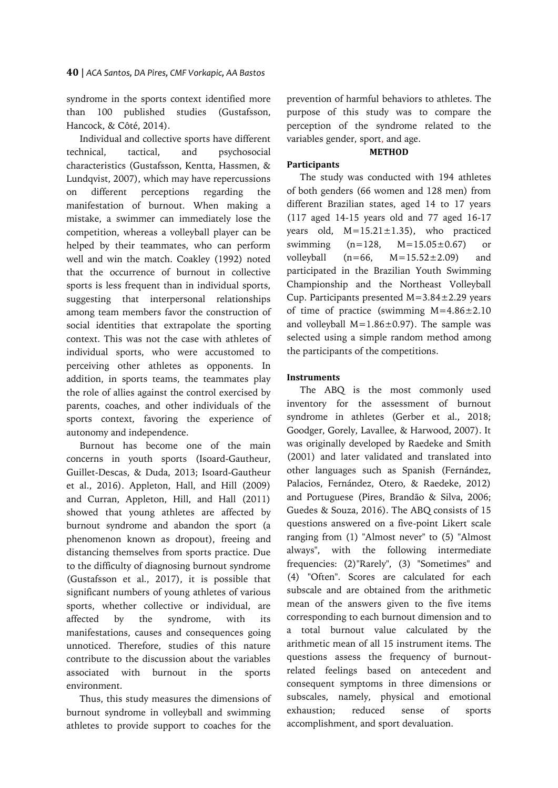syndrome in the sports context identified more than 100 published studies (Gustafsson, Hancock, & Côté, 2014).

Individual and collective sports have different technical, tactical, and psychosocial characteristics (Gustafsson, Kentta, Hassmen, & Lundqvist, 2007), which may have repercussions on different perceptions regarding the manifestation of burnout. When making a mistake, a swimmer can immediately lose the competition, whereas a volleyball player can be helped by their teammates, who can perform well and win the match. Coakley (1992) noted that the occurrence of burnout in collective sports is less frequent than in individual sports, suggesting that interpersonal relationships among team members favor the construction of social identities that extrapolate the sporting context. This was not the case with athletes of individual sports, who were accustomed to perceiving other athletes as opponents. In addition, in sports teams, the teammates play the role of allies against the control exercised by parents, coaches, and other individuals of the sports context, favoring the experience of autonomy and independence.

Burnout has become one of the main concerns in youth sports (Isoard-Gautheur, Guillet-Descas, & Duda, 2013; Isoard-Gautheur et al., 2016). Appleton, Hall, and Hill (2009) and Curran, Appleton, Hill, and Hall (2011) showed that young athletes are affected by burnout syndrome and abandon the sport (a phenomenon known as dropout), freeing and distancing themselves from sports practice. Due to the difficulty of diagnosing burnout syndrome (Gustafsson et al*.*, 2017), it is possible that significant numbers of young athletes of various sports, whether collective or individual, are affected by the syndrome, with its manifestations, causes and consequences going unnoticed. Therefore, studies of this nature contribute to the discussion about the variables associated with burnout in the sports environment.

Thus, this study measures the dimensions of burnout syndrome in volleyball and swimming athletes to provide support to coaches for the

prevention of harmful behaviors to athletes. The purpose of this study was to compare the perception of the syndrome related to the variables gender, sport, and age.

## **METHOD**

# **Participants**

The study was conducted with 194 athletes of both genders (66 women and 128 men) from different Brazilian states, aged 14 to 17 years (117 aged 14-15 years old and 77 aged 16-17 years old,  $M=15.21\pm1.35$ ), who practiced swimming (n=128, M=15.05±0.67) or volleyball  $(n=66, M=15.52\pm2.09)$  and participated in the Brazilian Youth Swimming Championship and the Northeast Volleyball Cup. Participants presented  $M=3.84\pm2.29$  years of time of practice (swimming M=4.86±2.10 and volleyball  $M=1.86\pm0.97$ ). The sample was selected using a simple random method among the participants of the competitions.

# **Instruments**

The ABQ is the most commonly used inventory for the assessment of burnout syndrome in athletes (Gerber et al., 2018; Goodger, Gorely, Lavallee, & Harwood, 2007). It was originally developed by Raedeke and Smith (2001) and later validated and translated into other languages such as Spanish (Fernández, Palacios, Fernández, Otero, & Raedeke, 2012) and Portuguese (Pires, Brandão & Silva, 2006; Guedes & Souza, 2016). The ABQ consists of 15 questions answered on a five-point Likert scale ranging from (1) "Almost never" to (5) "Almost always", with the following intermediate frequencies: (2)"Rarely", (3) "Sometimes" and (4) "Often". Scores are calculated for each subscale and are obtained from the arithmetic mean of the answers given to the five items corresponding to each burnout dimension and to a total burnout value calculated by the arithmetic mean of all 15 instrument items. The questions assess the frequency of burnoutrelated feelings based on antecedent and consequent symptoms in three dimensions or subscales, namely, physical and emotional exhaustion; reduced sense of sports accomplishment, and sport devaluation.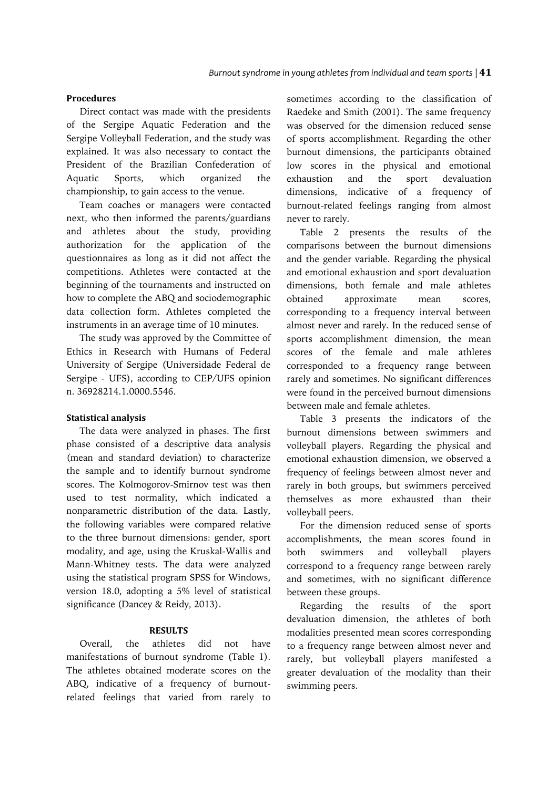## **Procedures**

Direct contact was made with the presidents of the Sergipe Aquatic Federation and the Sergipe Volleyball Federation, and the study was explained. It was also necessary to contact the President of the Brazilian Confederation of Aquatic Sports, which organized the championship, to gain access to the venue.

Team coaches or managers were contacted next, who then informed the parents/guardians and athletes about the study, providing authorization for the application of the questionnaires as long as it did not affect the competitions. Athletes were contacted at the beginning of the tournaments and instructed on how to complete the ABQ and sociodemographic data collection form. Athletes completed the instruments in an average time of 10 minutes.

The study was approved by the Committee of Ethics in Research with Humans of Federal University of Sergipe (Universidade Federal de Sergipe - UFS), according to CEP/UFS opinion n. 36928214.1.0000.5546.

### **Statistical analysis**

The data were analyzed in phases. The first phase consisted of a descriptive data analysis (mean and standard deviation) to characterize the sample and to identify burnout syndrome scores. The Kolmogorov-Smirnov test was then used to test normality, which indicated a nonparametric distribution of the data. Lastly, the following variables were compared relative to the three burnout dimensions: gender, sport modality, and age, using the Kruskal-Wallis and Mann-Whitney tests. The data were analyzed using the statistical program SPSS for Windows, version 18.0, adopting a 5% level of statistical significance (Dancey & Reidy, 2013).

## **RESULTS**

Overall, the athletes did not have manifestations of burnout syndrome (Table 1). The athletes obtained moderate scores on the ABQ, indicative of a frequency of burnoutrelated feelings that varied from rarely to sometimes according to the classification of Raedeke and Smith (2001). The same frequency was observed for the dimension reduced sense of sports accomplishment. Regarding the other burnout dimensions, the participants obtained low scores in the physical and emotional exhaustion and the sport devaluation dimensions, indicative of a frequency of burnout-related feelings ranging from almost never to rarely.

Table 2 presents the results of the comparisons between the burnout dimensions and the gender variable. Regarding the physical and emotional exhaustion and sport devaluation dimensions, both female and male athletes obtained approximate mean scores, corresponding to a frequency interval between almost never and rarely. In the reduced sense of sports accomplishment dimension, the mean scores of the female and male athletes corresponded to a frequency range between rarely and sometimes. No significant differences were found in the perceived burnout dimensions between male and female athletes.

Table 3 presents the indicators of the burnout dimensions between swimmers and volleyball players. Regarding the physical and emotional exhaustion dimension, we observed a frequency of feelings between almost never and rarely in both groups, but swimmers perceived themselves as more exhausted than their volleyball peers.

For the dimension reduced sense of sports accomplishments, the mean scores found in both swimmers and volleyball players correspond to a frequency range between rarely and sometimes, with no significant difference between these groups.

Regarding the results of the sport devaluation dimension, the athletes of both modalities presented mean scores corresponding to a frequency range between almost never and rarely, but volleyball players manifested a greater devaluation of the modality than their swimming peers.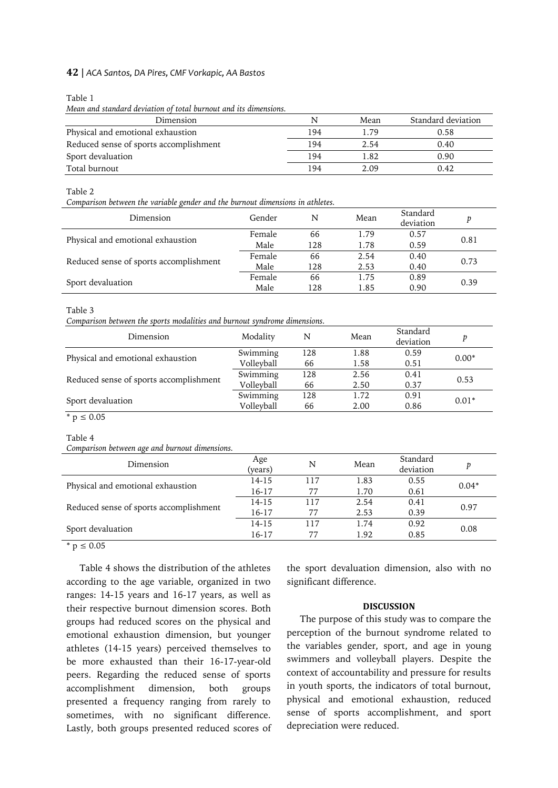### **42** | *ACA Santos, DA Pires, CMF Vorkapic, AA Bastos*

Table 1

*Mean and standard deviation of total burnout and its dimensions.*

| Dimension                              | N   | Mean | Standard deviation |
|----------------------------------------|-----|------|--------------------|
| Physical and emotional exhaustion      | 194 | 1.79 | 0.58               |
| Reduced sense of sports accomplishment | 194 | 2.54 | 0.40               |
| Sport devaluation                      | 194 | 1.82 | 0.90               |
| Total burnout                          | 194 | 2.09 | 0.42               |

Table 2

*Comparison between the variable gender and the burnout dimensions in athletes.*

| Dimension                              | Gender | N   | Mean | Standard<br>deviation | p    |  |
|----------------------------------------|--------|-----|------|-----------------------|------|--|
| Physical and emotional exhaustion      | Female | 66  | 1.79 | 0.57                  | 0.81 |  |
|                                        | Male   | 128 | 1.78 | 0.59                  |      |  |
| Reduced sense of sports accomplishment | Female | 66  | 2.54 | 0.40                  | 0.73 |  |
|                                        | Male   | 128 | 2.53 | 0.40                  |      |  |
| Sport devaluation                      | Female | 66  | 1.75 | 0.89                  | 0.39 |  |
|                                        | Male   | 128 | 1.85 | 0.90                  |      |  |

Table 3

*Comparison between the sports modalities and burnout syndrome dimensions.*

| Dimension                              | Modality   | N   | Mean | Standard<br>deviation | p       |  |
|----------------------------------------|------------|-----|------|-----------------------|---------|--|
| Physical and emotional exhaustion      | Swimming   | 128 | 1.88 | 0.59                  | $0.00*$ |  |
|                                        | Volleyball | 66  | 1.58 | 0.51                  |         |  |
| Reduced sense of sports accomplishment | Swimming   | 128 | 2.56 | 0.41                  | 0.53    |  |
|                                        | Volleyball | 66  | 2.50 | 0.37                  |         |  |
| Sport devaluation                      | Swimming   | 128 | 1.72 | 0.91                  | $0.01*$ |  |
|                                        | Volleyball | 66  | 2.00 | 0.86                  |         |  |

 $*$  p  $\leq 0.05$ 

#### Table 4

*Comparison between age and burnout dimensions.*

| Dimension                              | Age<br>(years) | N   | Mean | Standard<br>deviation | р       |
|----------------------------------------|----------------|-----|------|-----------------------|---------|
| Physical and emotional exhaustion      | 14-15          | 117 | 1.83 | 0.55                  | $0.04*$ |
|                                        | 16-17          | 77  | 1.70 | 0.61                  |         |
| Reduced sense of sports accomplishment | 14-15          | 117 | 2.54 | 0.41                  | 0.97    |
|                                        | 16-17          | 77  | 2.53 | 0.39                  |         |
| Sport devaluation                      | 14-15          | 117 | 1.74 | 0.92                  | 0.08    |
|                                        | 16-17          |     | 1.92 | 0.85                  |         |

 $* p \le 0.05$ 

Table 4 shows the distribution of the athletes according to the age variable, organized in two ranges: 14-15 years and 16-17 years, as well as their respective burnout dimension scores*.* Both groups had reduced scores on the physical and emotional exhaustion dimension, but younger athletes (14-15 years) perceived themselves to be more exhausted than their 16-17-year-old peers. Regarding the reduced sense of sports accomplishment dimension, both groups presented a frequency ranging from rarely to sometimes, with no significant difference. Lastly, both groups presented reduced scores of the sport devaluation dimension, also with no significant difference.

#### **DISCUSSION**

The purpose of this study was to compare the perception of the burnout syndrome related to the variables gender, sport, and age in young swimmers and volleyball players. Despite the context of accountability and pressure for results in youth sports, the indicators of total burnout, physical and emotional exhaustion, reduced sense of sports accomplishment, and sport depreciation were reduced.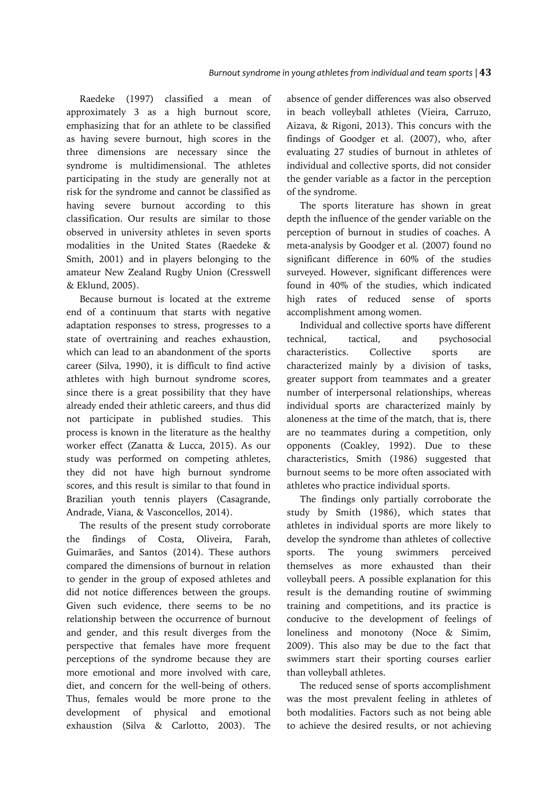Raedeke (1997) classified a mean of approximately 3 as a high burnout score, emphasizing that for an athlete to be classified as having severe burnout, high scores in the three dimensions are necessary since the syndrome is multidimensional. The athletes participating in the study are generally not at risk for the syndrome and cannot be classified as having severe burnout according to this classification. Our results are similar to those observed in university athletes in seven sports modalities in the United States (Raedeke & Smith, 2001) and in players belonging to the amateur New Zealand Rugby Union (Cresswell & Eklund, 2005).

Because burnout is located at the extreme end of a continuum that starts with negative adaptation responses to stress, progresses to a state of overtraining and reaches exhaustion, which can lead to an abandonment of the sports career (Silva, 1990), it is difficult to find active athletes with high burnout syndrome scores, since there is a great possibility that they have already ended their athletic careers, and thus did not participate in published studies. This process is known in the literature as the healthy worker effect (Zanatta & Lucca, 2015). As our study was performed on competing athletes, they did not have high burnout syndrome scores, and this result is similar to that found in Brazilian youth tennis players (Casagrande, Andrade, Viana, & Vasconcellos, 2014).

The results of the present study corroborate the findings of Costa, Oliveira, Farah, Guimarães, and Santos (2014). These authors compared the dimensions of burnout in relation to gender in the group of exposed athletes and did not notice differences between the groups. Given such evidence, there seems to be no relationship between the occurrence of burnout and gender, and this result diverges from the perspective that females have more frequent perceptions of the syndrome because they are more emotional and more involved with care, diet, and concern for the well-being of others. Thus, females would be more prone to the development of physical and emotional exhaustion (Silva & Carlotto, 2003). The absence of gender differences was also observed in beach volleyball athletes (Vieira, Carruzo, Aizava, & Rigoni, 2013). This concurs with the findings of Goodger et al*.* (2007), who, after evaluating 27 studies of burnout in athletes of individual and collective sports, did not consider the gender variable as a factor in the perception of the syndrome.

The sports literature has shown in great depth the influence of the gender variable on the perception of burnout in studies of coaches. A meta-analysis by Goodger et al*.* (2007) found no significant difference in 60% of the studies surveyed. However, significant differences were found in 40% of the studies, which indicated high rates of reduced sense of sports accomplishment among women.

Individual and collective sports have different technical, tactical, and psychosocial characteristics. Collective sports are characterized mainly by a division of tasks, greater support from teammates and a greater number of interpersonal relationships, whereas individual sports are characterized mainly by aloneness at the time of the match, that is, there are no teammates during a competition, only opponents (Coakley, 1992). Due to these characteristics, Smith (1986) suggested that burnout seems to be more often associated with athletes who practice individual sports.

The findings only partially corroborate the study by Smith (1986), which states that athletes in individual sports are more likely to develop the syndrome than athletes of collective sports. The young swimmers perceived themselves as more exhausted than their volleyball peers. A possible explanation for this result is the demanding routine of swimming training and competitions, and its practice is conducive to the development of feelings of loneliness and monotony (Noce & Simim, 2009). This also may be due to the fact that swimmers start their sporting courses earlier than volleyball athletes.

The reduced sense of sports accomplishment was the most prevalent feeling in athletes of both modalities. Factors such as not being able to achieve the desired results, or not achieving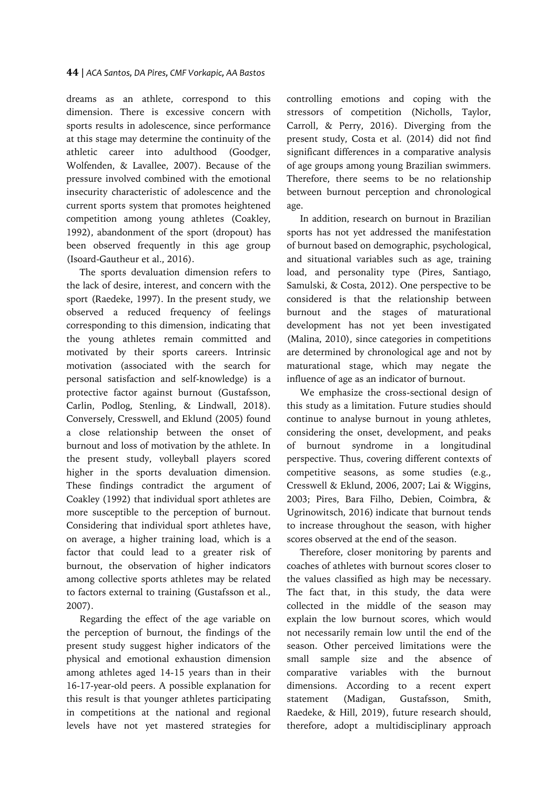## **44** | *ACA Santos, DA Pires, CMF Vorkapic, AA Bastos*

dreams as an athlete, correspond to this dimension. There is excessive concern with sports results in adolescence, since performance at this stage may determine the continuity of the athletic career into adulthood (Goodger, Wolfenden, & Lavallee, 2007). Because of the pressure involved combined with the emotional insecurity characteristic of adolescence and the current sports system that promotes heightened competition among young athletes (Coakley, 1992), abandonment of the sport (dropout) has been observed frequently in this age group (Isoard-Gautheur et al., 2016).

The sports devaluation dimension refers to the lack of desire, interest, and concern with the sport (Raedeke, 1997). In the present study, we observed a reduced frequency of feelings corresponding to this dimension, indicating that the young athletes remain committed and motivated by their sports careers. Intrinsic motivation (associated with the search for personal satisfaction and self-knowledge) is a protective factor against burnout (Gustafsson, Carlin, Podlog, Stenling, & Lindwall, 2018). Conversely, Cresswell, and Eklund (2005) found a close relationship between the onset of burnout and loss of motivation by the athlete. In the present study, volleyball players scored higher in the sports devaluation dimension. These findings contradict the argument of Coakley (1992) that individual sport athletes are more susceptible to the perception of burnout. Considering that individual sport athletes have, on average, a higher training load, which is a factor that could lead to a greater risk of burnout, the observation of higher indicators among collective sports athletes may be related to factors external to training (Gustafsson et al.*,*  2007).

Regarding the effect of the age variable on the perception of burnout, the findings of the present study suggest higher indicators of the physical and emotional exhaustion dimension among athletes aged 14-15 years than in their 16-17-year-old peers. A possible explanation for this result is that younger athletes participating in competitions at the national and regional levels have not yet mastered strategies for

controlling emotions and coping with the stressors of competition (Nicholls, Taylor, Carroll, & Perry, 2016). Diverging from the present study, Costa et al. (2014) did not find significant differences in a comparative analysis of age groups among young Brazilian swimmers. Therefore, there seems to be no relationship between burnout perception and chronological age.

In addition, research on burnout in Brazilian sports has not yet addressed the manifestation of burnout based on demographic, psychological, and situational variables such as age, training load, and personality type (Pires, Santiago, Samulski, & Costa, 2012). One perspective to be considered is that the relationship between burnout and the stages of maturational development has not yet been investigated (Malina, 2010), since categories in competitions are determined by chronological age and not by maturational stage, which may negate the influence of age as an indicator of burnout.

We emphasize the cross-sectional design of this study as a limitation. Future studies should continue to analyse burnout in young athletes, considering the onset, development, and peaks of burnout syndrome in a longitudinal perspective. Thus, covering different contexts of competitive seasons, as some studies (e.g., Cresswell & Eklund, 2006, 2007; Lai & Wiggins, 2003; Pires, Bara Filho, Debien, Coimbra, & Ugrinowitsch, 2016) indicate that burnout tends to increase throughout the season, with higher scores observed at the end of the season.

Therefore, closer monitoring by parents and coaches of athletes with burnout scores closer to the values classified as high may be necessary. The fact that, in this study, the data were collected in the middle of the season may explain the low burnout scores*,* which would not necessarily remain low until the end of the season. Other perceived limitations were the small sample size and the absence of comparative variables with the burnout dimensions. According to a recent expert statement (Madigan, Gustafsson, Smith, Raedeke, & Hill, 2019), future research should, therefore, adopt a multidisciplinary approach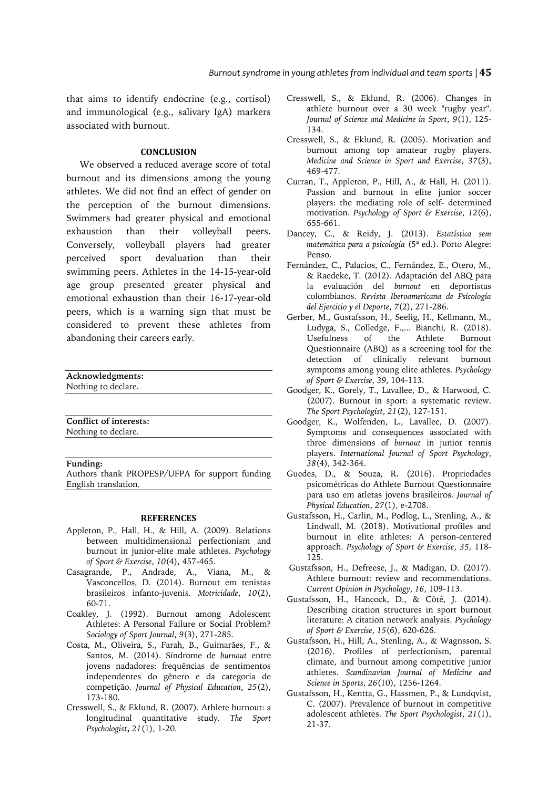that aims to identify endocrine (e.g., cortisol) and immunological (e.g., salivary IgA) markers associated with burnout.

## **CONCLUSION**

We observed a reduced average score of total burnout and its dimensions among the young athletes. We did not find an effect of gender on the perception of the burnout dimensions. Swimmers had greater physical and emotional exhaustion than their volleyball peers. Conversely, volleyball players had greater perceived sport devaluation than their swimming peers. Athletes in the 14-15-year-old age group presented greater physical and emotional exhaustion than their 16-17-year-old peers, which is a warning sign that must be considered to prevent these athletes from abandoning their careers early.

| Acknowledgments:    |  |
|---------------------|--|
| Nothing to declare. |  |
|                     |  |

**Conflict of interests:** Nothing to declare.

**Funding:**

Authors thank PROPESP/UFPA for support funding English translation.

#### **REFERENCES**

- Appleton, P., Hall, H., & Hill, A. (2009). Relations between multidimensional perfectionism and burnout in junior-elite male athletes. *Psychology of Sport & Exercise*, *10*(4), 457-465.
- Casagrande, P., Andrade, A., Viana, M., & Vasconcellos, D. (2014). Burnout em tenistas brasileiros infanto-juvenis. *Motricidade*, *10*(2), 60-71.
- Coakley, J. (1992). Burnout among Adolescent Athletes: A Personal Failure or Social Problem? *Sociology of Sport Journal*, *9*(3), 271-285.
- Costa, M., Oliveira, S., Farah, B., Guimarães, F., & Santos, M. (2014). Síndrome de *burnout* entre jovens nadadores: frequências de sentimentos independentes do gênero e da categoria de competição. *Journal of Physical Education*, *25*(2), 173-180.
- Cresswell, S., & Eklund, R. (2007). Athlete burnout: a longitudinal quantitative study. *The Sport Psychologist***,** *21*(1), 1-20.
- Cresswell, S., & Eklund, R. (2006). Changes in athlete burnout over a 30 week "rugby year". *Journal of Science and Medicine in Sport*, *9*(1), 125- 134.
- Cresswell, S., & Eklund, R. (2005). Motivation and burnout among top amateur rugby players. *Medicine and Science in Sport and Exercise*, *37*(3), 469-477.
- Curran, T., Appleton, P., Hill, A., & Hall, H. (2011). Passion and burnout in elite junior soccer players: the mediating role of self- determined motivation. *Psychology of Sport & Exercise*, *12*(6), 655-661.
- Dancey, C., & Reidy, J. (2013). *Estatística sem matemática para a psicologia* (5ª ed.). Porto Alegre: Penso.
- Fernández, C., Palacios, C., Fernández, E., Otero, M., & Raedeke, T. (2012). Adaptación del ABQ para la evaluación del *burnout* en deportistas colombianos. *Revista Iberoamericana de Psicología del Ejercicio y el Deporte*, *7*(2), 271-286.
- Gerber, M., Gustafsson, H., Seelig, H., Kellmann, M., Ludyga, S., Colledge, F.,... Bianchi, R. (2018). Usefulness of the Athlete Burnout Questionnaire (ABQ) as a screening tool for the detection of clinically relevant burnout symptoms among young elite athletes. *Psychology of Sport & Exercise*, *39*, 104-113.
- Goodger, K., Gorely, T., Lavallee, D., & Harwood, C. (2007). Burnout in sport: a systematic review. *The Sport Psychologist*, *21*(2), 127-151.
- Goodger, K., Wolfenden, L., Lavallee, D. (2007). Symptoms and consequences associated with three dimensions of *burnout* in junior tennis players. *International Journal of Sport Psychology*, *38*(4), 342-364.
- Guedes, D., & Souza, R. (2016). Propriedades psicométricas do Athlete Burnout Questionnaire para uso em atletas jovens brasileiros. *Journal of Physical Education*, *27*(1), e-2708.
- Gustafsson, H., Carlin, M., Podlog, L., Stenling, A., & Lindwall, M. (2018). Motivational profiles and burnout in elite athletes: A person-centered approach. *Psychology of Sport & Exercise*, *35*, 118- 125.
- Gustafsson, H., Defreese, J., & Madigan, D. (2017). Athlete burnout: review and recommendations. *Current Opinion in Psychology*, *16*, 109-113.
- Gustafsson, H., Hancock, D., & Côté, J. (2014). Describing citation structures in sport burnout literature: A citation network analysis. *Psychology of Sport & Exercise*, *15*(6), 620-626.
- Gustafsson, H., Hill, A., Stenling, A., & Wagnsson, S. (2016). Profiles of perfectionism, parental climate, and burnout among competitive junior athletes. *Scandinavian Journal of Medicine and Science in Sports*, *26*(10), 1256-1264.
- Gustafsson, H., Kentta, G., Hassmen, P., & Lundqvist, C. (2007). Prevalence of burnout in competitive adolescent athletes. *The Sport Psychologist*, *21*(1), 21-37.